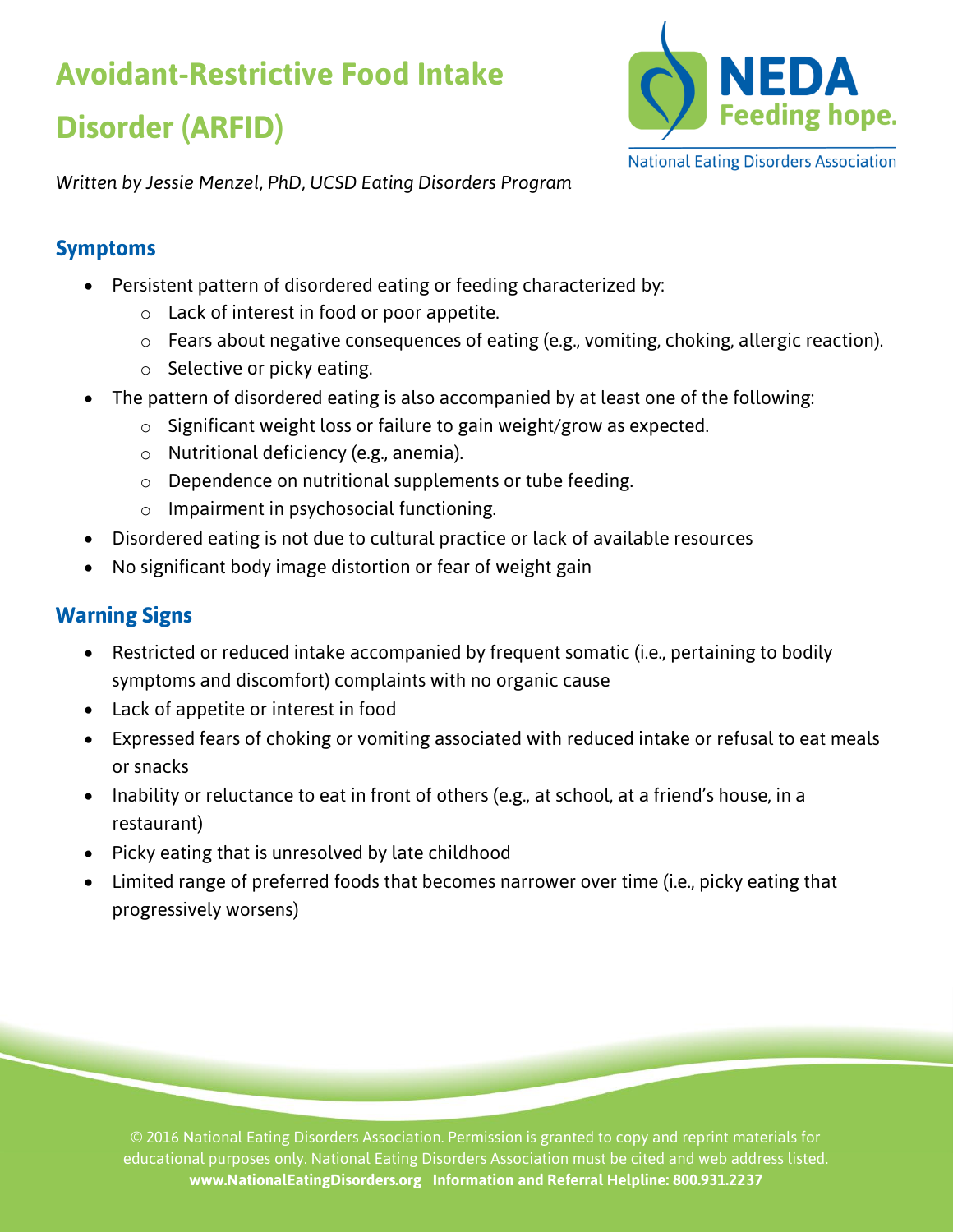# **Avoidant-Restrictive Food Intake Disorder (ARFID)**



*Written by Jessie Menzel, PhD, UCSD Eating Disorders Program*

### **Symptoms**

- Persistent pattern of disordered eating or feeding characterized by:
	- o Lack of interest in food or poor appetite.
	- $\circ$  Fears about negative consequences of eating (e.g., vomiting, choking, allergic reaction).
	- o Selective or picky eating.
- The pattern of disordered eating is also accompanied by at least one of the following:
	- $\circ$  Significant weight loss or failure to gain weight/grow as expected.
	- o Nutritional deficiency (e.g., anemia).
	- o Dependence on nutritional supplements or tube feeding.
	- o Impairment in psychosocial functioning.
- Disordered eating is not due to cultural practice or lack of available resources
- No significant body image distortion or fear of weight gain

# **Warning Signs**

- Restricted or reduced intake accompanied by frequent somatic (i.e., pertaining to bodily symptoms and discomfort) complaints with no organic cause
- Lack of appetite or interest in food
- Expressed fears of choking or vomiting associated with reduced intake or refusal to eat meals or snacks
- Inability or reluctance to eat in front of others (e.g., at school, at a friend's house, in a restaurant)
- Picky eating that is unresolved by late childhood
- Limited range of preferred foods that becomes narrower over time (i.e., picky eating that progressively worsens)

© 2016 National Eating Disorders Association. Permission is granted to copy and reprint materials for educational purposes only. National Eating Disorders Association must be cited and web address listed. **www.NationalEatingDisorders.org Information and Referral Helpline: 800.931.2237**